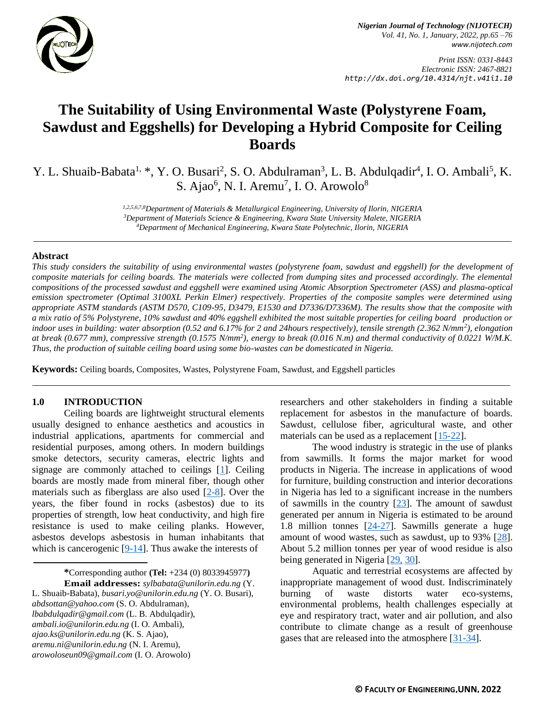

*Print ISSN: 0331-8443 Electronic ISSN: 2467-8821 http://dx.doi.org/10.4314/njt.v41i1.10*

# **The Suitability of Using Environmental Waste (Polystyrene Foam, Sawdust and Eggshells) for Developing a Hybrid Composite for Ceiling Boards**

Y. L. Shuaib-Babata<sup>1, \*</sup>, Y. O. Busari<sup>2</sup>, S. O. Abdulraman<sup>3</sup>, L. B. Abdulqadir<sup>4</sup>, I. O. Ambali<sup>5</sup>, K. S. Ajao<sup>6</sup>, N. I. Aremu<sup>7</sup>, I. O. Arowolo<sup>8</sup>

> *1,2,5,6,7,8Department of Materials & Metallurgical Engineering, University of Ilorin, NIGERIA <sup>3</sup>Department of Materials Science & Engineering, Kwara State University Malete, NIGERIA <sup>4</sup>Department of Mechanical Engineering, Kwara State Polytechnic, Ilorin, NIGERIA*

#### **Abstract**

*This study considers the suitability of using environmental wastes (polystyrene foam, sawdust and eggshell) for the development of composite materials for ceiling boards. The materials were collected from dumping sites and processed accordingly. The elemental compositions of the processed sawdust and eggshell were examined using Atomic Absorption Spectrometer (ASS) and plasma-optical emission spectrometer (Optimal 3100XL Perkin Elmer) respectively. Properties of the composite samples were determined using appropriate ASTM standards (ASTM D570, C109-95, D3479, E1530 and D7336/D7336M). The results show that the composite with a mix ratio of 5% Polystyrene, 10% sawdust and 40% eggshell exhibited the most suitable properties for ceiling board production or indoor uses in building: water absorption (0.52 and 6.17% for 2 and 24hours respectively), tensile strength (2.362 N/mm<sup>2</sup> ), elongation at break (0.677 mm), compressive strength (0.1575 N/mm<sup>2</sup> ), energy to break (0.016 N.m) and thermal conductivity of 0.0221 W/M.K. Thus, the production of suitable ceiling board using some bio-wastes can be domesticated in Nigeria.* 

**Keywords:** Ceiling boards, Composites, Wastes, Polystyrene Foam, Sawdust, and Eggshell particles

### **1.0 INTRODUCTION**

Ceiling boards are lightweight structural elements usually designed to enhance aesthetics and acoustics in industrial applications, apartments for commercial and residential purposes, among others. In modern buildings smoke detectors, security cameras, electric lights and signage are commonly attached to ceilings  $[1]$ . Ceiling boards are mostly made from mineral fiber, though other materials such as fiberglass are also used [\[2-8\]](#page-7-1). Over the years, the fiber found in rocks (asbestos) due to its properties of strength, low heat conductivity, and high fire resistance is used to make ceiling planks. However, asbestos develops asbestosis in human inhabitants that which is cancerogenic [\[9-14\]](#page-8-0). Thus awake the interests of

> **\***Corresponding author **[\(Te](mailto:samnnaemeka.ugwu@unn.edu.ng)l:** +234 (0) 8033945977**) Email addresses:** *sylbabata@unilorin.edu.ng* (Y.

L. Shuaib-Babata), *busari.yo@unilorin.edu.ng* (Y. O. Busari), *[abdsottan@yahoo.com](mailto:abdsottan@yahoo.com)* (S. O. Abdulraman), *lbabdulqadir@gmail.com* (L. B. Abdulqadir), *ambali.io@unilorin.edu.ng* (I. O. Ambali), *[ajao.ks@unilorin.edu.ng](mailto:ajao.ks@unilorin.edu.ng)* (K. S. Ajao), *aremu.ni@unilorin.edu.ng* (N. I. Aremu), *arowoloseun09@gmail.com* (I. O. Arowolo)

researchers and other stakeholders in finding a suitable replacement for asbestos in the manufacture of boards. Sawdust, cellulose fiber, agricultural waste, and other materials can be used as a replacement [\[15-22\]](#page-8-1).

The wood industry is strategic in the use of planks from sawmills. It forms the major market for wood products in Nigeria. The increase in applications of wood for furniture, building construction and interior decorations in Nigeria has led to a significant increase in the numbers of sawmills in the country  $[23]$ . The amount of sawdust generated per annum in Nigeria is estimated to be around 1.8 million tonnes  $[24-27]$ . Sawmills generate a huge amount of wood wastes, such as sawdust, up to 93% [\[28\]](#page-9-0). About 5.2 million tonnes per year of wood residue is also being generated in Nigeria [\[29,](#page-9-1) [30\]](#page-9-2).

Aquatic and terrestrial ecosystems are affected by inappropriate management of wood dust. Indiscriminately burning of waste distorts water eco-systems, environmental problems, health challenges especially at eye and respiratory tract, water and air pollution, and also contribute to climate change as a result of greenhouse gases that are released into the atmosphere [\[31-34\]](#page-9-3).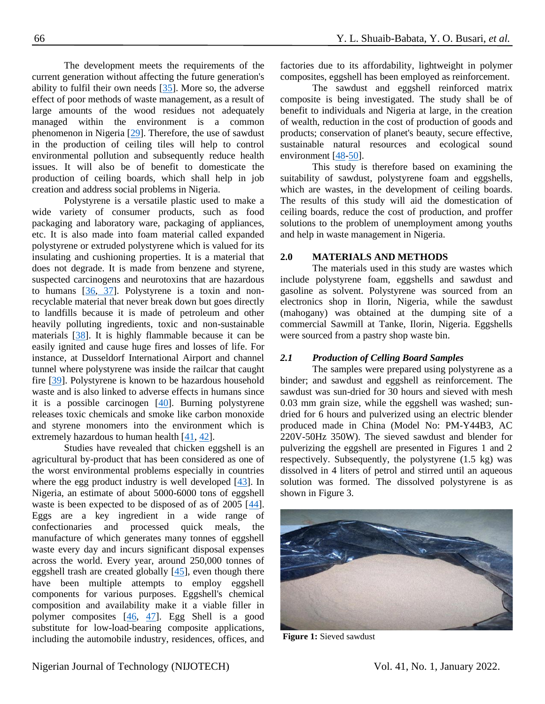The development meets the requirements of the current generation without affecting the future generation's ability to fulfil their own needs [\[35\]](#page-8-4). More so, the adverse effect of poor methods of waste management, as a result of large amounts of the wood residues not adequately managed within the environment is a common phenomenon in Nigeria [\[29\]](#page-9-1). Therefore, the use of sawdust in the production of ceiling tiles will help to control environmental pollution and subsequently reduce health issues. It will also be of benefit to domesticate the production of ceiling boards, which shall help in job creation and address social problems in Nigeria.

Polystyrene is a versatile plastic used to make a wide variety of consumer products, such as food packaging and laboratory ware, packaging of appliances, etc. It is also made into foam material called expanded polystyrene or extruded polystyrene which is valued for its insulating and cushioning properties. It is a material that does not degrade. It is made from benzene and styrene, suspected carcinogens and neurotoxins that are hazardous to humans [\[36,](#page-9-4) [37\]](#page-9-5). Polystyrene is a toxin and nonrecyclable material that never break down but goes directly to landfills because it is made of petroleum and other heavily polluting ingredients, toxic and non-sustainable materials [\[38\]](#page-9-6). It is highly flammable because it can be easily ignited and cause huge fires and losses of life. For instance, at Dusseldorf International Airport and channel tunnel where polystyrene was inside the railcar that caught fire [\[39\]](#page-9-7). Polystyrene is known to be hazardous household waste and is also linked to adverse effects in humans since it is a possible carcinogen [\[40\]](#page-9-8). Burning polystyrene releases toxic chemicals and smoke like carbon monoxide and styrene monomers into the environment which is extremely hazardous to human health [\[41,](#page-9-9) [42\]](#page-9-10).

Studies have revealed that chicken eggshell is an agricultural by-product that has been considered as one of the worst environmental problems especially in countries where the egg product industry is well developed [\[43\]](#page-9-11). In Nigeria, an estimate of about 5000-6000 tons of eggshell waste is been expected to be disposed of as of 2005 [\[44\]](#page-10-0). Eggs are a key ingredient in a wide range of confectionaries and processed quick meals, the manufacture of which generates many tonnes of eggshell waste every day and incurs significant disposal expenses across the world. Every year, around 250,000 tonnes of eggshell trash are created globally [\[45\]](#page-9-12), even though there have been multiple attempts to employ eggshell components for various purposes. Eggshell's chemical composition and availability make it a viable filler in polymer composites [\[46,](#page-9-13) [47\]](#page-9-14). Egg Shell is a good substitute for low-load-bearing composite applications, including the automobile industry, residences, offices, and

factories due to its affordability, lightweight in polymer composites, eggshell has been employed as reinforcement.

The sawdust and eggshell reinforced matrix composite is being investigated. The study shall be of benefit to individuals and Nigeria at large, in the creation of wealth, reduction in the cost of production of goods and products; conservation of planet's beauty, secure effective, sustainable natural resources and ecological sound environment [\[48](#page-9-15)[-50\]](#page-10-1).

This study is therefore based on examining the suitability of sawdust, polystyrene foam and eggshells, which are wastes, in the development of ceiling boards. The results of this study will aid the domestication of ceiling boards, reduce the cost of production, and proffer solutions to the problem of unemployment among youths and help in waste management in Nigeria.

## **2.0 MATERIALS AND METHODS**

The materials used in this study are wastes which include polystyrene foam, eggshells and sawdust and gasoline as solvent. Polystyrene was sourced from an electronics shop in Ilorin, Nigeria, while the sawdust (mahogany) was obtained at the dumping site of a commercial Sawmill at Tanke, Ilorin, Nigeria. Eggshells were sourced from a pastry shop waste bin.

### *2.1 Production of Celling Board Samples*

The samples were prepared using polystyrene as a binder; and sawdust and eggshell as reinforcement. The sawdust was sun-dried for 30 hours and sieved with mesh 0.03 mm grain size, while the eggshell was washed; sundried for 6 hours and pulverized using an electric blender produced made in China (Model No: PM-Y44B3, AC 220V-50Hz 350W). The sieved sawdust and blender for pulverizing the eggshell are presented in Figures 1 and 2 respectively. Subsequently, the polystyrene (1.5 kg) was dissolved in 4 liters of petrol and stirred until an aqueous solution was formed. The dissolved polystyrene is as shown in Figure 3.



**Figure 1:** Sieved sawdust

# Nigerian Journal of Technology (NIJOTECH) Vol. 41, No. 1, January 2022.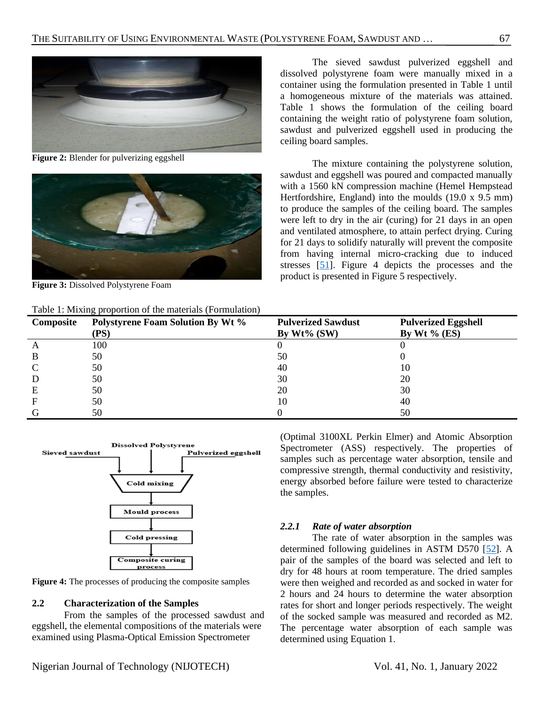

**Figure 2:** Blender for pulverizing eggshell



**Figure 3:** Dissolved Polystyrene Foam

Table 1: Mixing proportion of the materials (Formulation)

The sieved sawdust pulverized eggshell and dissolved polystyrene foam were manually mixed in a container using the formulation presented in Table 1 until a homogeneous mixture of the materials was attained. Table 1 shows the formulation of the ceiling board containing the weight ratio of polystyrene foam solution, sawdust and pulverized eggshell used in producing the ceiling board samples.

The mixture containing the polystyrene solution, sawdust and eggshell was poured and compacted manually with a 1560 kN compression machine (Hemel Hempstead Hertfordshire, England) into the moulds  $(19.0 \times 9.5 \text{ mm})$ to produce the samples of the ceiling board. The samples were left to dry in the air (curing) for 21 days in an open and ventilated atmosphere, to attain perfect drying. Curing for 21 days to solidify naturally will prevent the composite from having internal micro-cracking due to induced stresses [\[51\]](#page-10-2). Figure 4 depicts the processes and the product is presented in Figure 5 respectively.

| Twice T. Mining proportion of the materials (Formulation) |                                                  |                                             |                                               |  |  |  |  |
|-----------------------------------------------------------|--------------------------------------------------|---------------------------------------------|-----------------------------------------------|--|--|--|--|
| Composite                                                 | <b>Polystyrene Foam Solution By Wt %</b><br>(PS) | <b>Pulverized Sawdust</b><br>By $Wt\%$ (SW) | <b>Pulverized Eggshell</b><br>By Wt $\%$ (ES) |  |  |  |  |
|                                                           | 100                                              |                                             |                                               |  |  |  |  |
| В                                                         | 50                                               | 50                                          |                                               |  |  |  |  |
|                                                           | 50                                               | 40                                          | 10                                            |  |  |  |  |
| D                                                         | 50                                               | 30                                          | 20                                            |  |  |  |  |
| Е                                                         | 50                                               | 20                                          | 30                                            |  |  |  |  |
|                                                           | 50                                               | 10                                          | 40                                            |  |  |  |  |
|                                                           | 50                                               |                                             | 50                                            |  |  |  |  |



**Figure 4:** The processes of producing the composite samples

### **2.2 Characterization of the Samples**

From the samples of the processed sawdust and eggshell, the elemental compositions of the materials were examined using Plasma-Optical Emission Spectrometer

(Optimal 3100XL Perkin Elmer) and Atomic Absorption Spectrometer (ASS) respectively. The properties of samples such as percentage water absorption, tensile and compressive strength, thermal conductivity and resistivity, energy absorbed before failure were tested to characterize the samples.

# *2.2.1 Rate of water absorption*

The rate of water absorption in the samples was determined following guidelines in ASTM D570 [\[52\]](#page-10-3). A pair of the samples of the board was selected and left to dry for 48 hours at room temperature. The dried samples were then weighed and recorded as and socked in water for 2 hours and 24 hours to determine the water absorption rates for short and longer periods respectively. The weight of the socked sample was measured and recorded as M2. The percentage water absorption of each sample was determined using Equation 1.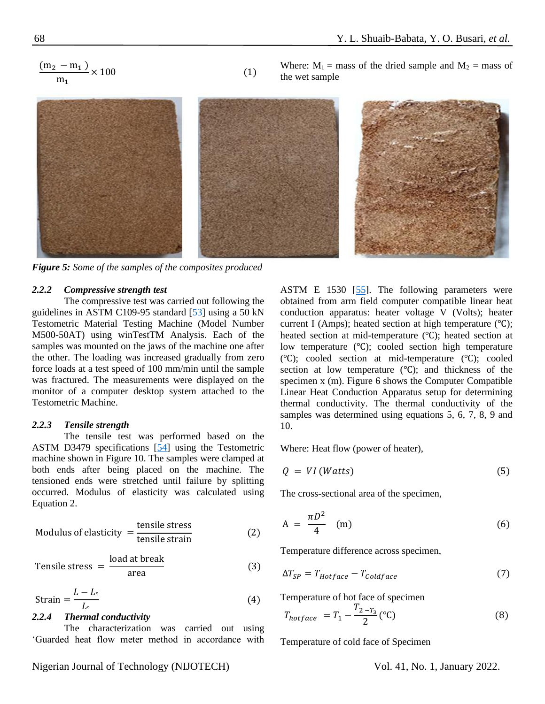$$
\frac{(m_2 - m_1)}{m_1} \times 100
$$
 (1)

Where:  $M_1$  = mass of the dried sample and  $M_2$  = mass of the wet sample



*Figure 5: Some of the samples of the composites produced* 

### *2.2.2 Compressive strength test*

The compressive test was carried out following the guidelines in ASTM C109-95 standard [\[53\]](#page-10-4) using a 50 kN Testometric Material Testing Machine (Model Number M500-50AT) using winTestTM Analysis. Each of the samples was mounted on the jaws of the machine one after the other. The loading was increased gradually from zero force loads at a test speed of 100 mm/min until the sample was fractured. The measurements were displayed on the monitor of a computer desktop system attached to the Testometric Machine.

### *2.2.3 Tensile strength*

The tensile test was performed based on the ASTM D3479 specifications [\[54\]](#page-10-0) using the Testometric machine shown in Figure 10. The samples were clamped at both ends after being placed on the machine. The tensioned ends were stretched until failure by splitting occurred. Modulus of elasticity was calculated using Equation 2.

Modulus of elasticity = 
$$
\frac{\text{tensile stress}}{\text{tensile strain}}
$$
 (2)

Tensile stress = 
$$
\frac{\text{load at break}}{\text{area}}
$$
 (3)

$$
Strain = \frac{L - L_{\circ}}{L_{\circ}} \tag{4}
$$

### *2.2.4 Thermal conductivity*

The characterization was carried out using 'Guarded heat flow meter method in accordance with ASTM E 1530  $[55]$ . The following parameters were obtained from arm field computer compatible linear heat conduction apparatus: heater voltage V (Volts); heater current I (Amps); heated section at high temperature (℃); heated section at mid-temperature (℃); heated section at low temperature (℃); cooled section high temperature (℃); cooled section at mid-temperature (℃); cooled section at low temperature (℃); and thickness of the specimen x (m). Figure 6 shows the Computer Compatible Linear Heat Conduction Apparatus setup for determining thermal conductivity. The thermal conductivity of the samples was determined using equations 5, 6, 7, 8, 9 and 10.

Where: Heat flow (power of heater),

$$
Q = VI (Watts) \tag{5}
$$

The cross-sectional area of the specimen,

$$
A = \frac{\pi D^2}{4} \quad (m) \tag{6}
$$

Temperature difference across specimen,

$$
\Delta T_{SP} = T_{Hotface} - T_{coldface} \tag{7}
$$

Temperature of hot face of specimen

$$
T_{hotface} = T_1 - \frac{T_{2 - T_3}}{2} (^{\circ}C)
$$
 (8)

Temperature of cold face of Specimen

Nigerian Journal of Technology (NIJOTECH) Vol. 41, No. 1, January 2022.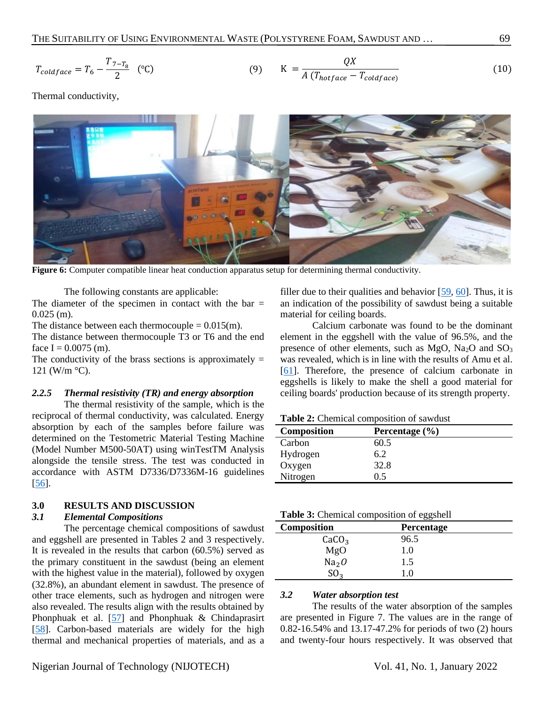$$
T_{cold face} = T_6 - \frac{T_{7-T_8}}{2} \quad (°C) \tag{9} \qquad K = \frac{QX}{A (T_{hot face} - T_{cold face})} \tag{10}
$$

Thermal conductivity,



**Figure 6:** Computer compatible linear heat conduction apparatus setup for determining thermal conductivity.

The following constants are applicable:

The diameter of the specimen in contact with the bar  $=$  $0.025$  (m).

The distance between each thermocouple  $= 0.015$ (m).

The distance between thermocouple T3 or T6 and the end face  $I = 0.0075$  (m).

The conductivity of the brass sections is approximately  $=$ 121 (W/m  $\rm{^{\circ}C}$ ).

### *2.2.5 Thermal resistivity (TR) and energy absorption*

The thermal resistivity of the sample, which is the reciprocal of thermal conductivity, was calculated. Energy absorption by each of the samples before failure was determined on the Testometric Material Testing Machine (Model Number M500-50AT) using winTestTM Analysis alongside the tensile stress. The test was conducted in accordance with ASTM D7336/D7336M-16 guidelines [\[56\]](#page-10-6).

# **3.0 RESULTS AND DISCUSSION**

### *3.1 Elemental Compositions*

The percentage chemical compositions of sawdust and eggshell are presented in Tables 2 and 3 respectively. It is revealed in the results that carbon (60.5%) served as the primary constituent in the sawdust (being an element with the highest value in the material), followed by oxygen (32.8%), an abundant element in sawdust. The presence of other trace elements, such as hydrogen and nitrogen were also revealed. The results align with the results obtained by Phonphuak et al. [\[57\]](#page-10-7) and Phonphuak & Chindaprasirt [\[58\]](#page-10-8). Carbon-based materials are widely for the high thermal and mechanical properties of materials, and as a

filler due to their qualities and behavior  $[59, 60]$  $[59, 60]$ . Thus, it is an indication of the possibility of sawdust being a suitable material for ceiling boards.

Calcium carbonate was found to be the dominant element in the eggshell with the value of 96.5%, and the presence of other elements, such as  $MgO$ ,  $Na<sub>2</sub>O$  and  $SO<sub>3</sub>$ was revealed, which is in line with the results of Amu et al. [\[61\]](#page-10-11). Therefore, the presence of calcium carbonate in eggshells is likely to make the shell a good material for ceiling boards' production because of its strength property.

**Table 2:** Chemical composition of sawdust

| Composition | Percentage $(\% )$ |
|-------------|--------------------|
| Carbon      | 60.5               |
| Hydrogen    | 6.2                |
| Oxygen      | 32.8               |
| Nitrogen    | 0 5                |

|                   | ັ          |  |
|-------------------|------------|--|
| Composition       | Percentage |  |
| CaCO <sub>3</sub> | 96.5       |  |
| MgO               | 1.0        |  |
| Na <sub>2</sub> O | 1.5        |  |
| SO <sub>3</sub>   | 1.0        |  |
|                   |            |  |

# *3.2 Water absorption test*

The results of the water absorption of the samples are presented in Figure 7. The values are in the range of 0.82-16.54% and 13.17-47.2% for periods of two (2) hours and twenty-four hours respectively. It was observed that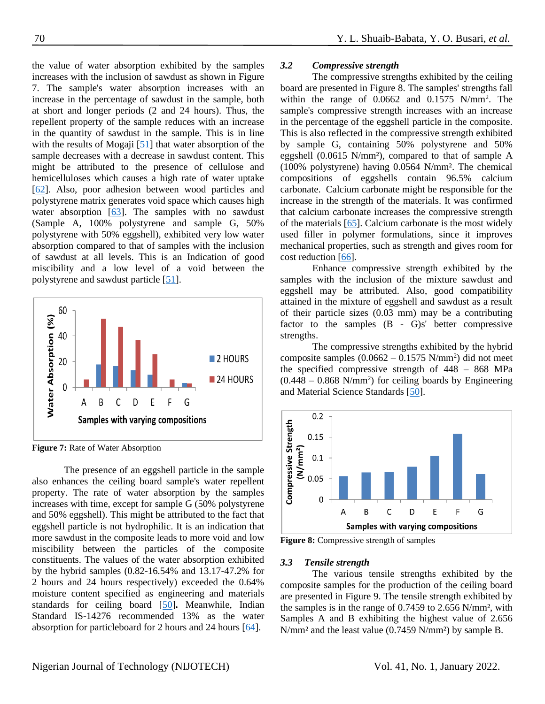the value of water absorption exhibited by the samples increases with the inclusion of sawdust as shown in Figure 7. The sample's water absorption increases with an increase in the percentage of sawdust in the sample, both at short and longer periods (2 and 24 hours). Thus, the repellent property of the sample reduces with an increase in the quantity of sawdust in the sample. This is in line with the results of Mogaji [\[51\]](#page-10-2) that water absorption of the sample decreases with a decrease in sawdust content. This might be attributed to the presence of cellulose and hemicelluloses which causes a high rate of water uptake [\[62\]](#page-10-12). Also, poor adhesion between wood particles and polystyrene matrix generates void space which causes high water absorption [\[63\]](#page-10-13). The samples with no sawdust (Sample A, 100% polystyrene and sample G, 50% polystyrene with 50% eggshell), exhibited very low water absorption compared to that of samples with the inclusion of sawdust at all levels. This is an Indication of good miscibility and a low level of a void between the polystyrene and sawdust particle [\[51\]](#page-10-2).



**Figure 7:** Rate of Water Absorption

The presence of an eggshell particle in the sample also enhances the ceiling board sample's water repellent property. The rate of water absorption by the samples increases with time, except for sample G (50% polystyrene and 50% eggshell). This might be attributed to the fact that eggshell particle is not hydrophilic. It is an indication that more sawdust in the composite leads to more void and low miscibility between the particles of the composite constituents. The values of the water absorption exhibited by the hybrid samples (0.82-16.54% and 13.17-47.2% for 2 hours and 24 hours respectively) exceeded the 0.64% moisture content specified as engineering and materials standards for ceiling board [\[50\]](#page-10-1)**.** Meanwhile, Indian Standard IS-14276 recommended 13% as the water absorption for particleboard for 2 hours and 24 hours [\[64\]](#page-10-14).

## *3.2 Compressive strength*

The compressive strengths exhibited by the ceiling board are presented in Figure 8. The samples' strengths fall within the range of  $0.0662$  and  $0.1575$  N/mm<sup>2</sup>. The sample's compressive strength increases with an increase in the percentage of the eggshell particle in the composite. This is also reflected in the compressive strength exhibited by sample G, containing 50% polystyrene and 50% eggshell (0.0615 N/mm²), compared to that of sample A (100% polystyrene) having 0.0564 N/mm². The chemical compositions of eggshells contain 96.5% calcium carbonate. Calcium carbonate might be responsible for the increase in the strength of the materials. It was confirmed that calcium carbonate increases the compressive strength of the materials [\[65\]](#page-10-15). Calcium carbonate is the most widely used filler in polymer formulations, since it improves mechanical properties, such as strength and gives room for cost reduction [\[66\]](#page-10-16).

Enhance compressive strength exhibited by the samples with the inclusion of the mixture sawdust and eggshell may be attributed. Also, good compatibility attained in the mixture of eggshell and sawdust as a result of their particle sizes (0.03 mm) may be a contributing factor to the samples  $(B - G)s'$  better compressive strengths.

The compressive strengths exhibited by the hybrid composite samples  $(0.0662 - 0.1575 \text{ N/mm}^2)$  did not meet the specified compressive strength of 448 – 868 MPa  $(0.448 - 0.868 \text{ N/mm}^2)$  for ceiling boards by Engineering and Material Science Standards [\[50\]](#page-10-1).



**Figure 8:** Compressive strength of samples

#### *3.3 Tensile strength*

The various tensile strengths exhibited by the composite samples for the production of the ceiling board are presented in Figure 9. The tensile strength exhibited by the samples is in the range of 0.7459 to 2.656 N/mm², with Samples A and B exhibiting the highest value of 2.656 N/mm² and the least value (0.7459 N/mm²) by sample B.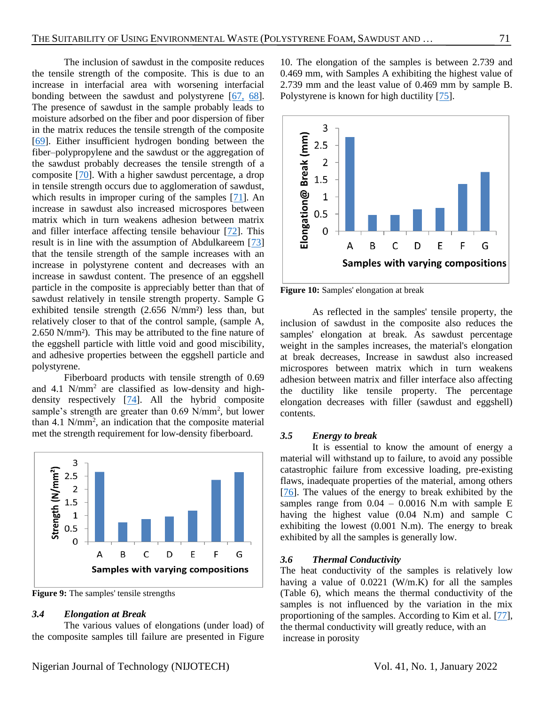The inclusion of sawdust in the composite reduces the tensile strength of the composite. This is due to an increase in interfacial area with worsening interfacial bonding between the sawdust and polystyrene [\[67,](#page-10-17) [68\]](#page-10-18). The presence of sawdust in the sample probably leads to moisture adsorbed on the fiber and poor dispersion of fiber in the matrix reduces the tensile strength of the composite [\[69\]](#page-10-19). Either insufficient hydrogen bonding between the fiber–polypropylene and the sawdust or the aggregation of the sawdust probably decreases the tensile strength of a composite [\[70\]](#page-10-20). With a higher sawdust percentage, a drop in tensile strength occurs due to agglomeration of sawdust, which results in improper curing of the samples  $[71]$ . An increase in sawdust also increased microspores between matrix which in turn weakens adhesion between matrix and filler interface affecting tensile behaviour [\[72\]](#page-11-0). This result is in line with the assumption of Abdulkareem [\[73\]](#page-11-1) that the tensile strength of the sample increases with an increase in polystyrene content and decreases with an increase in sawdust content. The presence of an eggshell particle in the composite is appreciably better than that of sawdust relatively in tensile strength property. Sample G exhibited tensile strength (2.656 N/mm²) less than, but relatively closer to that of the control sample, (sample A, 2.650 N/mm²). This may be attributed to the fine nature of the eggshell particle with little void and good miscibility, and adhesive properties between the eggshell particle and polystyrene.

Fiberboard products with tensile strength of 0.69 and 4.1 N/mm<sup>2</sup> are classified as low-density and highdensity respectively [\[74\]](#page-11-2). All the hybrid composite sample's strength are greater than 0.69 N/mm<sup>2</sup>, but lower than 4.1  $N/mm^2$ , an indication that the composite material met the strength requirement for low-density fiberboard.



**Figure 9:** The samples' tensile strengths

## *3.4 Elongation at Break*

The various values of elongations (under load) of the composite samples till failure are presented in Figure

10. The elongation of the samples is between 2.739 and 0.469 mm, with Samples A exhibiting the highest value of 2.739 mm and the least value of 0.469 mm by sample B. Polystyrene is known for high ductility [\[75\]](#page-11-3).



**Figure 10:** Samples' elongation at break

As reflected in the samples' tensile property, the inclusion of sawdust in the composite also reduces the samples' elongation at break. As sawdust percentage weight in the samples increases, the material's elongation at break decreases, Increase in sawdust also increased microspores between matrix which in turn weakens adhesion between matrix and filler interface also affecting the ductility like tensile property. The percentage elongation decreases with filler (sawdust and eggshell) contents.

### *3.5 Energy to break*

It is essential to know the amount of energy a material will withstand up to failure, to avoid any possible catastrophic failure from excessive loading, pre-existing flaws, inadequate properties of the material, among others [\[76\]](#page-11-4). The values of the energy to break exhibited by the samples range from  $0.04 - 0.0016$  N.m with sample E having the highest value (0.04 N.m) and sample C exhibiting the lowest (0.001 N.m). The energy to break exhibited by all the samples is generally low.

### *3.6 Thermal Conductivity*

The heat conductivity of the samples is relatively low having a value of 0.0221 (W/m.K) for all the samples (Table 6), which means the thermal conductivity of the samples is not influenced by the variation in the mix proportioning of the samples. According to Kim et al. [\[77\]](#page-11-5), the thermal conductivity will greatly reduce, with an increase in porosity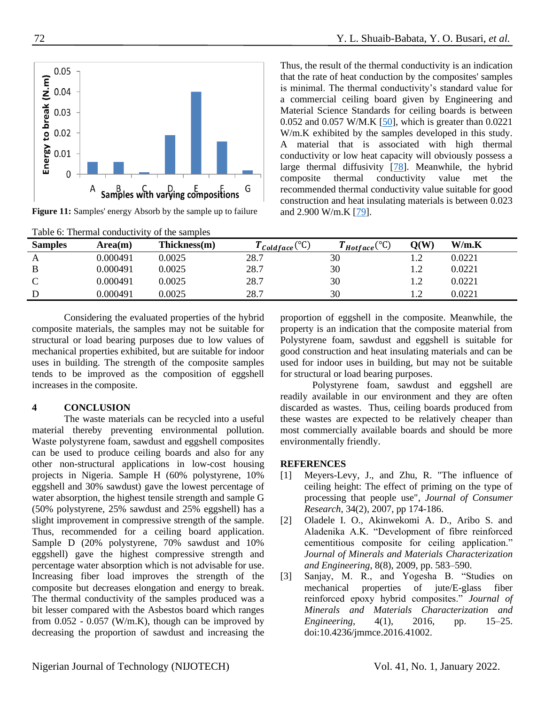

**Figure 11:** Samples' energy Absorb by the sample up to failure

Thus, the result of the thermal conductivity is an indication that the rate of heat conduction by the composites' samples is minimal. The thermal conductivity's standard value for a commercial ceiling board given by Engineering and Material Science Standards for ceiling boards is between 0.052 and 0.057 W/M.K  $[50]$ , which is greater than 0.0221 W/m.K exhibited by the samples developed in this study. A material that is associated with high thermal conductivity or low heat capacity will obviously possess a large thermal diffusivity [\[78\]](#page-11-6). Meanwhile, the hybrid composite thermal conductivity value met the recommended thermal conductivity value suitable for good construction and heat insulating materials is between 0.023 and 2.900 W/m.K [\[79\]](#page-11-7).

| Table 6: Thermal conductivity of the samples |          |              |                                                  |                                          |                          |        |  |  |  |
|----------------------------------------------|----------|--------------|--------------------------------------------------|------------------------------------------|--------------------------|--------|--|--|--|
| <b>Samples</b>                               | Area(m)  | Thickness(m) | $\Gamma_{\textit{Goldface}}({}^{\circ}\text{C})$ | $\Gamma_{Hotface}({}^{\circ}\mathbb{C})$ | $\mathbf{O}(\mathbf{W})$ | W/m.K  |  |  |  |
| A                                            | 0.000491 | 0.0025       | 28.7                                             | 30                                       | $\overline{\phantom{a}}$ | 0.0221 |  |  |  |
| B                                            | 0.000491 | 0.0025       | 28.7                                             | 30                                       | $\sqrt{2}$               | 0.0221 |  |  |  |
| C                                            | 0.000491 | 0.0025       | 28.7                                             | 30                                       |                          | 0.0221 |  |  |  |
|                                              | 0.000491 | 0.0025       | 28.7                                             | 30                                       |                          | 0.0221 |  |  |  |

Considering the evaluated properties of the hybrid composite materials, the samples may not be suitable for structural or load bearing purposes due to low values of mechanical properties exhibited, but are suitable for indoor uses in building. The strength of the composite samples tends to be improved as the composition of eggshell increases in the composite.

# **4 CONCLUSION**

The waste materials can be recycled into a useful material thereby preventing environmental pollution. Waste polystyrene foam, sawdust and eggshell composites can be used to produce ceiling boards and also for any other non-structural applications in low-cost housing projects in Nigeria. Sample H (60% polystyrene, 10% eggshell and 30% sawdust) gave the lowest percentage of water absorption, the highest tensile strength and sample G (50% polystyrene, 25% sawdust and 25% eggshell) has a slight improvement in compressive strength of the sample. Thus, recommended for a ceiling board application. Sample D (20% polystyrene, 70% sawdust and 10% eggshell) gave the highest compressive strength and percentage water absorption which is not advisable for use. Increasing fiber load improves the strength of the composite but decreases elongation and energy to break. The thermal conductivity of the samples produced was a bit lesser compared with the Asbestos board which ranges from  $0.052 - 0.057$  (W/m.K), though can be improved by decreasing the proportion of sawdust and increasing the

proportion of eggshell in the composite. Meanwhile, the property is an indication that the composite material from Polystyrene foam, sawdust and eggshell is suitable for good construction and heat insulating materials and can be used for indoor uses in building, but may not be suitable for structural or load bearing purposes.

Polystyrene foam, sawdust and eggshell are readily available in our environment and they are often discarded as wastes. Thus, ceiling boards produced from these wastes are expected to be relatively cheaper than most commercially available boards and should be more environmentally friendly.

# **REFERENCES**

- <span id="page-7-0"></span>[1] Meyers-Levy, J., and Zhu, R. "The influence of ceiling height: The effect of priming on the type of processing that people use", *Journal of Consumer Research*, 34(2), 2007, pp 174-186.
- <span id="page-7-1"></span>[2] Oladele I. O., Akinwekomi A. D., Aribo S. and Aladenika A.K. "Development of fibre reinforced cementitious composite for ceiling application." *Journal of Minerals and Materials Characterization and Engineering*, 8(8), 2009, pp. 583–590.
- [3] Sanjay, M. R., and Yogesha B. "Studies on mechanical properties of jute/E-glass fiber reinforced epoxy hybrid composites." *Journal of Minerals and Materials Characterization and Engineering*, 4(1), 2016, pp. 15–25. doi:10.4236/jmmce.2016.41002.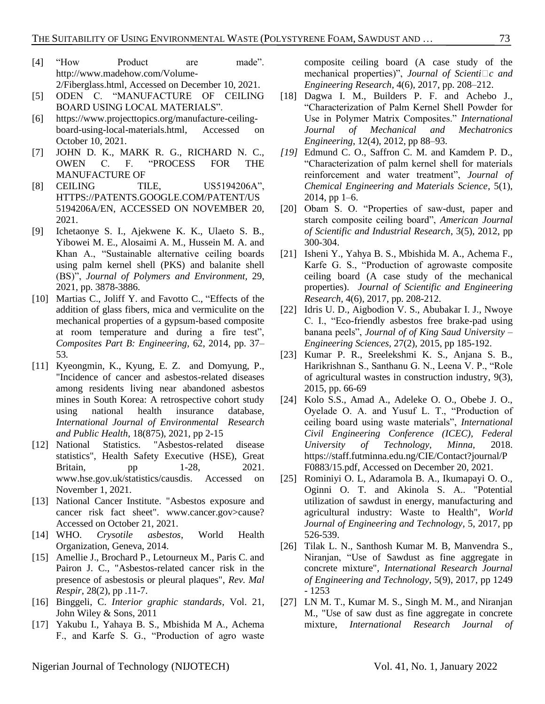- [4] "How Product are made". [http://www.madehow.com/Volume-](http://www.madehow.com/Volume-2/Fiberglass.html)[2/Fiberglass.html,](http://www.madehow.com/Volume-2/Fiberglass.html) Accessed on December 10, 2021.
- [5] ODEN C. "MANUFACTURE OF CEILING BOARD USING LOCAL MATERIALS".
- [6] [https://www.projecttopics.org/manufacture-ceiling](https://www.projecttopics.org/manufacture-ceiling-board-using-local-materials.html)[board-using-local-materials.html,](https://www.projecttopics.org/manufacture-ceiling-board-using-local-materials.html) Accessed on October 10, 2021.
- [7] [JOHN D. K.](https://patents.google.com/?inventor=John+D.+Koch), [MARK R. G.,](https://patents.google.com/patent/US5194206A/en) [RICHARD N. C.,](https://patents.google.com/?inventor=Richard+N.+Cunningham) [OWEN](https://patents.google.com/?inventor=C.+F.+Owen) C. F. "PROCESS FOR THE MANUFACTURE OF
- [8] CEILING TILE, US5194206A", [HTTPS://PATENTS.GOOGLE.COM/PATENT/US](https://patents.google.com/patent/US5194206A/en) [5194206A/EN,](https://patents.google.com/patent/US5194206A/en) ACCESSED ON NOVEMBER 20, 2021.
- <span id="page-8-0"></span>[9] Ichetaonye S. I., Ajekwene K. K., Ulaeto S. B., Yibowei M. E., Alosaimi A. M., Hussein M. A. and Khan A., "Sustainable alternative ceiling boards using palm kernel shell (PKS) and balanite shell (BS)", *Journal of Polymers and Environment,* 29, 2021, pp. 3878-3886.
- [10] Martias C., Joliff Y. and Favotto C., "Effects of the addition of glass fibers, mica and vermiculite on the mechanical properties of a gypsum-based composite at room temperature and during a fire test", *Composites Part B: Engineering,* 62, 2014, pp. 37– 53*.*
- [11] Kyeongmin, K., Kyung, E. Z. and Domyung, P., "Incidence of cancer and asbestos-related diseases among residents living near abandoned asbestos mines in South Korea: A retrospective cohort study using national health insurance database, *International Journal of Environmental Research and Public Health*, 18(875), 2021, pp 2-15
- [12] National Statistics. "Asbestos-related disease statistics", Health Safety Executive (HSE), Great Britain, pp 1-28, 2021. www.hse.gov.uk/statistics/causdis. Accessed on November 1, 2021.
- [13] National Cancer Institute. "Asbestos exposure and cancer risk fact sheet". www.cancer.gov>cause? Accessed on October 21, 2021.
- [14] WHO. *Crysotile asbestos*, World Health Organization, Geneva, 2014.
- <span id="page-8-1"></span>[15] Amellie J., Brochard P., Letourneux M., Paris C. and Pairon J. C., "Asbestos-related cancer risk in the presence of asbestosis or pleural plaques", *Rev. Mal Respir*, 28(2), pp .11-7.
- [16] Binggeli, C. *Interior graphic standards*, Vol. 21, John Wiley & Sons, 2011
- [17] Yakubu I., Yahaya B. S., Mbishida M A., Achema F., and Karfe S. G., "Production of agro waste

composite ceiling board (A case study of the mechanical properties)", *Journal of Scienti* $\Box c$  and *Engineering Research*, 4(6), 2017, pp. 208–212.

- [18] Dagwa I. M., Builders P. F. and Achebo J., "Characterization of Palm Kernel Shell Powder for Use in Polymer Matrix Composites." *International Journal of Mechanical and Mechatronics Engineering*, 12(4), 2012, pp 88–93.
- *[19]* Edmund C. O., Saffron C. M. and Kamdem P. D., "Characterization of palm kernel shell for materials reinforcement and water treatment", *Journal of Chemical Engineering and Materials Science*, 5(1), 2014, pp 1–6.
- [20] Obam S. O. "Properties of saw-dust, paper and starch composite ceiling board", *American Journal of Scientific and Industrial Research*, 3(5), 2012, pp 300-304.
- [21] Isheni Y., Yahya B. S., Mbishida M. A., Achema F., Karfe G. S., "Production of agrowaste composite ceiling board (A case study of the mechanical properties). *Journal of Scientific and Engineering Research,* 4(6), 2017, pp. 208-212.
- [22] Idris U. D., Aigbodion V. S., Abubakar I. J., Nwoye C. I., "Eco-friendly asbestos free brake-pad using banana peels", *Journal of of King Saud University – Engineering Sciences,* 27(2), 2015, pp 185-192.
- <span id="page-8-2"></span>[23] Kumar P. R., Sreelekshmi K. S., Anjana S. B., Harikrishnan S., Santhanu G. N., Leena V. P., "Role of agricultural wastes in construction industry, 9(3), 2015, pp. 66-69
- <span id="page-8-3"></span>[24] Kolo S.S., Amad A., Adeleke O. O., Obebe J. O., Oyelade O. A. and Yusuf L. T., "Production of ceiling board using waste materials", *International Civil Engineering Conference (ICEC), Federal University of Technology, Minna,* 2018. [https://staff.futminna.edu.ng/CIE/Contact?journal/P](https://staff.futminna.edu.ng/CIE/Contact?journal/PF0883/15.pdf) [F0883/15.pdf,](https://staff.futminna.edu.ng/CIE/Contact?journal/PF0883/15.pdf) Accessed on December 20, 2021.
- <span id="page-8-4"></span>[25] Rominiyi O. L, Adaramola B. A., Ikumapayi O. O., Oginni O. T. and Akinola S. A.. "Potential utilization of sawdust in energy, manufacturing and agricultural industry: Waste to Health", *World Journal of Engineering and Technology*, 5, 2017, pp 526-539.
- [26] Tilak L. N., Santhosh Kumar M. B, Manvendra S., Niranjan, "Use of Sawdust as fine aggregate in concrete mixture", *International Research Journal of Engineering and Technology*, 5(9), 2017, pp 1249 - 1253
- [27] LN M. T., Kumar M. S., Singh M. M., and Niranjan M., "Use of saw dust as fine aggregate in concrete mixture, *International Research Journal of*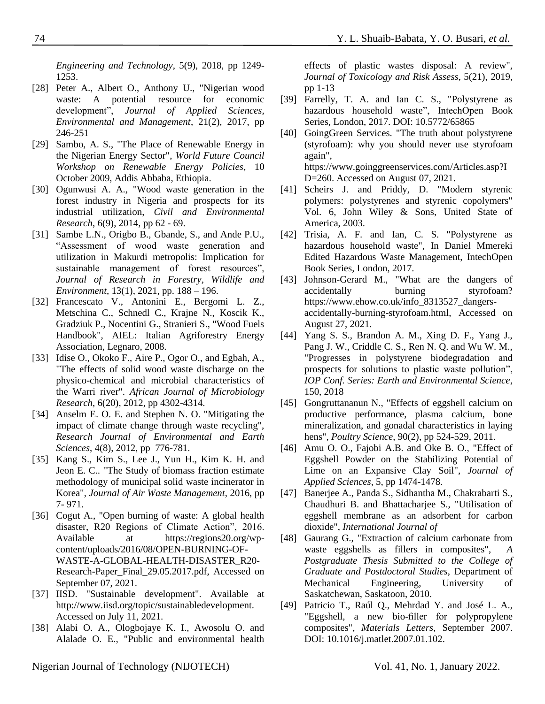*Engineering and Technology*, 5(9), 2018, pp 1249- 1253.

- <span id="page-9-0"></span>[28] Peter A., Albert O., Anthony U., "Nigerian wood waste: A potential resource for economic development", *Journal of Applied Sciences, Environmental and Management*, 21(2), 2017, pp 246-251
- <span id="page-9-1"></span>[29] Sambo, A. S., "The Place of Renewable Energy in the Nigerian Energy Sector", *World Future Council Workshop on Renewable Energy Policies*, 10 October 2009, Addis Abbaba, Ethiopia.
- <span id="page-9-2"></span>[30] Ogunwusi A. A., "Wood waste generation in the forest industry in Nigeria and prospects for its industrial utilization, *Civil and Environmental Research*, 6(9), 2014, pp 62 - 69.
- <span id="page-9-3"></span>[31] Sambe L.N., Origbo B., Gbande, S., and Ande P.U., "Assessment of wood waste generation and utilization in Makurdi metropolis: Implication for sustainable management of forest resources", *Journal of Research in Forestry, Wildlife and Environment*, 13(1), 2021, pp. 188 – 196.
- [32] Francescato V., Antonini E., Bergomi L. Z., Metschina C., Schnedl C., Krajne N., Koscik K., Gradziuk P., Nocentini G., Stranieri S., "Wood Fuels Handbook", AIEL: Italian Agriforestry Energy Association, Legnaro, 2008.
- [33] Idise O., Okoko F., Aire P., Ogor O., and Egbah, A., "The effects of solid wood waste discharge on the physico-chemical and microbial characteristics of the Warri river". *African Journal of Microbiology Research*, 6(20), 2012, pp 4302-4314.
- [34] Anselm E. O. E. and Stephen N. O. "Mitigating the impact of climate change through waste recycling", *Research Journal of Environmental and Earth Sciences*, 4(8), 2012, pp 776-781.
- [35] Kang S., Kim S., Lee J., Yun H., Kim K. H. and Jeon E. C.. "The Study of biomass fraction estimate methodology of municipal solid waste incinerator in Korea", *Journal of Air Waste Management*, 2016, pp 7- 971.
- <span id="page-9-4"></span>[36] Cogut A., "Open burning of waste: A global health disaster, R20 Regions of Climate Action", 2016. Available at https://regions20.org/wpcontent/uploads/2016/08/OPEN-BURNING-OF-WASTE-A-GLOBAL-HEALTH-DISASTER\_R20- Research-Paper\_Final\_29.05.2017.pdf, Accessed on September 07, 2021.
- <span id="page-9-5"></span>[37] IISD. "Sustainable development". Available at http://www.iisd.org/topic/sustainabledevelopment. Accessed on July 11, 2021.
- <span id="page-9-6"></span>[38] Alabi O. A., Ologbojaye K. I., Awosolu O. and Alalade O. E., "Public and environmental health

- effects of plastic wastes disposal: A review", *Journal of Toxicology and Risk Assess*, 5(21), 2019, pp 1-13
- <span id="page-9-7"></span>[39] Farrelly, T. A. and Ian C. S., "Polystyrene as hazardous household waste", IntechOpen Book Series, London, 2017. DOI: 10.5772/65865
- <span id="page-9-8"></span>[40] GoingGreen Services. "The truth about polystyrene (styrofoam): why you should never use styrofoam again", https://www.goinggreenservices.com/Articles.asp?I D=260. Accessed on August 07, 2021.
- <span id="page-9-9"></span>[41] Scheirs J. and Priddy, D. "Modern styrenic polymers: polystyrenes and styrenic copolymers" Vol. 6, John Wiley & Sons, United State of America, 2003.
- <span id="page-9-10"></span>[42] Trisia, A. F. and Ian, C. S. "Polystyrene as hazardous household waste", In Daniel Mmereki Edited Hazardous Waste Management, IntechOpen Book Series, London, 2017.
- <span id="page-9-11"></span>[43] Johnson-Gerard M., "What are the dangers of accidentally burning styrofoam? https://www.ehow.co.uk/info\_8313527\_dangersaccidentally-burning-styrofoam.html, Accessed on August 27, 2021.
- [44] Yang S. S., Brandon A. M., Xing D. F., Yang J., Pang J. W., Criddle C. S., Ren N. Q. and Wu W. M., "Progresses in polystyrene biodegradation and prospects for solutions to plastic waste pollution", *IOP Conf. Series: Earth and Environmental Science*, 150, 2018
- <span id="page-9-12"></span>[45] Gongruttananun N., "Effects of eggshell calcium on productive performance, plasma calcium, bone mineralization, and gonadal characteristics in laying hens", *Poultry Science*, 90(2), pp 524-529, 2011.
- <span id="page-9-13"></span>[46] Amu O. O., Fajobi A.B. and Oke B. O., "Effect of Eggshell Powder on the Stabilizing Potential of Lime on an Expansive Clay Soil", *Journal of Applied Sciences*, 5, pp 1474-1478.
- <span id="page-9-14"></span>[47] Banerjee A., Panda S., Sidhantha M., Chakrabarti S., Chaudhuri B. and Bhattacharjee S., "Utilisation of eggshell membrane as an adsorbent for carbon dioxide", *International Journal of*
- <span id="page-9-15"></span>[48] Gaurang G., "Extraction of calcium carbonate from waste eggshells as fillers in composites", *A Postgraduate Thesis Submitted to the College of Graduate and Postdoctoral Studies*, Department of Mechanical Engineering, University of Saskatchewan, Saskatoon, 2010.
- [49] Patricio T., Raúl Q., Mehrdad Y. and José L. A., "Eggshell, a new bio-filler for polypropylene composites", *Materials Letters*, September 2007. DOI: 10.1016/j.matlet.2007.01.102.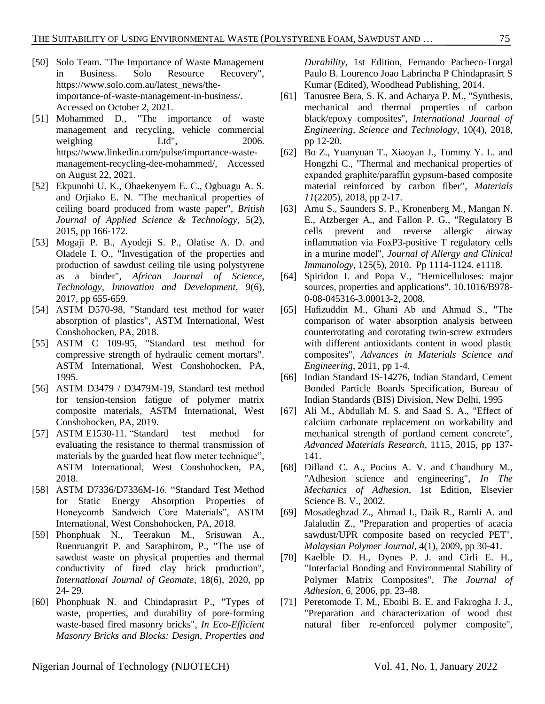- <span id="page-10-1"></span>[50] Solo Team. "The Importance of Waste Management in Business. Solo Resource Recovery", https://www.solo.com.au/latest\_news/theimportance-of-waste-management-in-business/. Accessed on October 2, 2021.
- <span id="page-10-2"></span>[51] Mohammed D., "The importance of waste management and recycling, vehicle commercial weighing Ltd", 2006. https://www.linkedin.com/pulse/importance-wastemanagement-recycling-dee-mohammed/, Accessed on August 22, 2021.
- <span id="page-10-3"></span>[52] Ekpunobi U. K., Ohaekenyem E. C., Ogbuagu A. S. and Orjiako E. N. "The mechanical properties of ceiling board produced from waste paper", *British Journal of Applied Science & Technology*, 5(2), 2015, pp 166-172.
- <span id="page-10-4"></span>[53] Mogaji P. B., Ayodeji S. P., Olatise A. D. and Oladele I. O., "Investigation of the properties and production of sawdust ceiling tile using polystyrene as a binder", *African Journal of Science, Technology, Innovation and Development*, 9(6), 2017, pp 655-659.
- <span id="page-10-0"></span>[54] ASTM D570-98, "Standard test method for water absorption of plastics", ASTM International, West Conshohocken, PA, 2018.
- <span id="page-10-5"></span>[55] ASTM C 109-95, "Standard test method for compressive strength of hydraulic cement mortars". ASTM International, West Conshohocken, PA, 1995.
- <span id="page-10-6"></span>[56] ASTM D3479 / D3479M-19, Standard test method for tension-tension fatigue of polymer matrix composite materials, ASTM International, West Conshohocken, PA, 2019.
- <span id="page-10-7"></span>[57] ASTM E1530-11. "Standard test method for evaluating the resistance to thermal transmission of materials by the guarded heat flow meter technique", ASTM International, West Conshohocken, PA, 2018.
- <span id="page-10-8"></span>[58] ASTM D7336/D7336M-16. "Standard Test Method for Static Energy Absorption Properties of Honeycomb Sandwich Core Materials", ASTM International, West Conshohocken, PA, 2018.
- <span id="page-10-9"></span>[59] Phonphuak N., Teerakun M., Srisuwan A., Ruenruangrit P. and Saraphirom, P., "The use of sawdust waste on physical properties and thermal conductivity of fired clay brick production", *International Journal of Geomate*, 18(6), 2020, pp 24- 29.
- <span id="page-10-10"></span>[60] Phonphuak N. and Chindaprasirt P., "Types of waste, properties, and durability of pore-forming waste-based fired masonry bricks", *In Eco-Efficient Masonry Bricks and Blocks: Design, Properties and*

*Durability*, 1st Edition, Fernando Pacheco-Torgal Paulo B. Lourenco Joao Labrincha P Chindaprasirt S Kumar (Edited), Woodhead Publishing, 2014.

- <span id="page-10-11"></span>[61] Tanusree Bera, S. K. and Acharya P. M., "Synthesis, mechanical and thermal properties of carbon black/epoxy composites", *International Journal of Engineering, Science and Technology*, 10(4), 2018, pp 12-20.
- <span id="page-10-12"></span>[62] Bo Z., Yuanyuan T., Xiaoyan J., Tommy Y. L. and Hongzhi C., "Thermal and mechanical properties of expanded graphite/paraffin gypsum-based composite material reinforced by carbon fiber", *Materials 11*(2205), 2018, pp 2-17.
- <span id="page-10-13"></span>[63] Amu S., Saunders S. P., Kronenberg M., Mangan N. E., Atzberger A., and Fallon P. G., "Regulatory B cells prevent and reverse allergic airway inflammation via FoxP3-positive T regulatory cells in a murine model", *Journal of Allergy and Clinical Immunology*, 125(5), 2010. Pp 1114-1124. e1118.
- <span id="page-10-14"></span>[64] Spiridon I. and Popa V., "Hemicelluloses: major sources, properties and applications". 10.1016/B978- 0-08-045316-3.00013-2, 2008.
- <span id="page-10-15"></span>[65] Hafizuddin M., Ghani Ab and Ahmad S., "The comparison of water absorption analysis between counterrotating and corotating twin-screw extruders with different antioxidants content in wood plastic composites", *Advances in Materials Science and Engineering*, 2011, pp 1-4.
- <span id="page-10-16"></span>[66] Indian Standard IS-14276, Indian Standard, Cement Bonded Particle Boards Specification, Bureau of Indian Standards (BIS) Division, New Delhi, 1995
- <span id="page-10-17"></span>[67] Ali M., Abdullah M. S. and Saad S. A., "Effect of calcium carbonate replacement on workability and mechanical strength of portland cement concrete", *Advanced Materials Research*, 1115, 2015, pp 137- 141.
- <span id="page-10-18"></span>[68] Dilland C. A., Pocius A. V. and Chaudhury M., "Adhesion science and engineering", *In The Mechanics of Adhesion*, 1st Edition, Elsevier Science B. V., 2002.
- <span id="page-10-19"></span>[69] Mosadeghzad Z., Ahmad I., Daik R., Ramli A. and Jalaludin Z., "Preparation and properties of acacia sawdust/UPR composite based on recycled PET", *Malaysian Polymer Journal*, 4(1), 2009, pp 30-41.
- <span id="page-10-20"></span>[70] Kaelble D. H., Dynes P. J. and Cirli E. H., "Interfacial Bonding and Environmental Stability of Polymer Matrix Composites", *The Journal of Adhesion*, 6, 2006, pp. 23-48.
- <span id="page-10-21"></span>[71] Peretomode T. M., Eboibi B. E. and Fakrogha J. J., "Preparation and characterization of wood dust natural fiber re-enforced polymer composite",